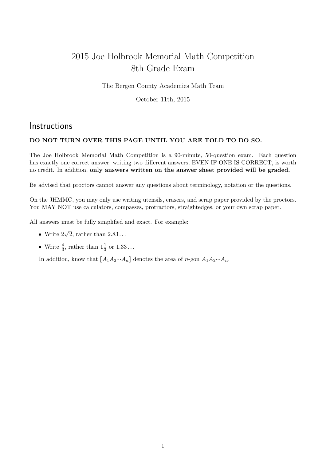## 2015 Joe Holbrook Memorial Math Competition 8th Grade Exam

The Bergen County Academies Math Team

October 11th, 2015

## **Instructions**

## DO NOT TURN OVER THIS PAGE UNTIL YOU ARE TOLD TO DO SO.

The Joe Holbrook Memorial Math Competition is a 90-minute, 50-question exam. Each question has exactly one correct answer; writing two different answers, EVEN IF ONE IS CORRECT, is worth no credit. In addition, only answers written on the answer sheet provided will be graded.

Be advised that proctors cannot answer any questions about terminology, notation or the questions.

On the JHMMC, you may only use writing utensils, erasers, and scrap paper provided by the proctors. You MAY NOT use calculators, compasses, protractors, straightedges, or your own scrap paper.

All answers must be fully simplified and exact. For example:

- Write  $2\sqrt{2}$ , rather than  $2.83...$
- Write  $\frac{4}{3}$ , rather than  $1\frac{1}{3}$  or  $1.33...$

In addition, know that  $[A_1A_2\cdots A_n]$  denotes the area of n-gon  $A_1A_2\cdots A_n$ .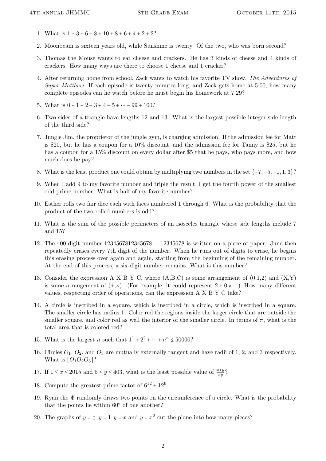- 1. What is  $1 + 3 + 6 + 8 + 10 + 8 + 6 + 4 + 2 + 2$ ?
- 2. Moonbeam is sixteen years old, while Sunshine is twenty. Of the two, who was born second?
- 3. Thomas the Mouse wants to eat cheese and crackers. He has 3 kinds of cheese and 4 kinds of crackers. How many ways are there to choose 1 cheese and 1 cracker?
- 4. After returning home from school, Zack wants to watch his favorite TV show, The Adventures of Super Matthew. If each episode is twenty minutes long, and Zack gets home at 5:00, how many complete episodes can he watch before he must begin his homework at 7:29?
- 5. What is  $0 1 + 2 3 + 4 5 + \dots 99 + 100$ ?
- 6. Two sides of a triangle have lengths 12 and 13. What is the largest possible integer side length of the third side?
- 7. Jungle Jim, the proprietor of the jungle gym, is charging admission. If the admission fee for Matt is \$20, but he has a coupon for a 10% discount, and the admission fee for Tanny is \$25, but he has a coupon for a 15% discount on every dollar after \$5 that he pays, who pays more, and how much does he pay?
- 8. What is the least product one could obtain by multiplying two numbers in the set  $\{-7, -5, -1, 1, 3\}$ ?
- 9. When I add 9 to my favorite number and triple the result, I get the fourth power of the smallest odd prime number. What is half of my favorite number?
- 10. Esther rolls two fair dice each with faces numbered 1 through 6. What is the probability that the product of the two rolled numbers is odd?
- 11. What is the sum of the possible perimeters of an isosceles triangle whose side lengths include 7 and 15?
- 12. The 400-digit number 1234567812345678 . . . 12345678 is written on a piece of paper. June then repeatedly erases every 7th digit of the number. When he runs out of digits to erase, he begins this erasing process over again and again, starting from the beginning of the remaining number. At the end of this process, a six-digit number remains. What is this number?
- 13. Consider the expression A X B Y C, where  $(A,B,C)$  is some arrangement of  $(0,1,2)$  and  $(X,Y)$ is some arrangement of  $(+, \times)$ . (For example, it could represent  $2 + 0 \times 1$ .) How many different values, respecting order of operations, can the expression A X B Y C take?
- 14. A circle is inscribed in a square, which is inscribed in a circle, which is inscribed in a square. The smaller circle has radius 1. Color red the regions inside the larger circle that are outside the smaller square, and color red as well the interior of the smaller circle. In terms of  $\pi$ , what is the total area that is colored red?
- 15. What is the largest *n* such that  $1^1 + 2^2 + \dots + n^n \le 50000$ ?
- 16. Circles  $O_1$ ,  $O_2$ , and  $O_3$  are mutually externally tangent and have radii of 1, 2, and 3 respectively. What is  $[O_1O_2O_3]$ ?
- 17. If  $1 \le x \le 2015$  and  $5 \le y \le 403$ , what is the least possible value of  $\frac{x+y}{xy}$ ?
- 18. Compute the greatest prime factor of  $6^{12} + 12^6$ .
- 19. Ryan the  $\Phi$  randomly draws two points on the circumference of a circle. What is the probability that the points lie within  $60^{\circ}$  of one another?
- 20. The graphs of  $y = \frac{1}{x}$  $\frac{1}{x}$ ,  $y = 1$ ,  $y = x$  and  $y = x^2$  cut the plane into how many pieces?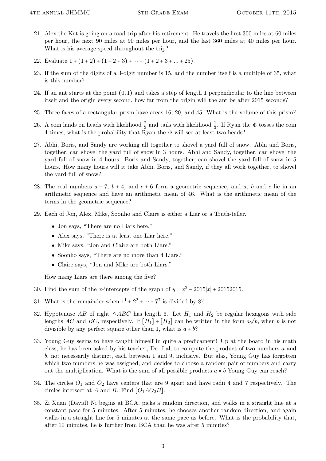- 21. Alex the Kat is going on a road trip after his retirement. He travels the first 300 miles at 60 miles per hour, the next 90 miles at 90 miles per hour, and the last 360 miles at 40 miles per hour. What is his average speed throughout the trip?
- 22. Evaluate  $1 + (1 + 2) + (1 + 2 + 3) + \cdots + (1 + 2 + 3 + \ldots + 25)$ .
- 23. If the sum of the digits of a 3-digit number is 15, and the number itself is a multiple of 35, what is this number?
- 24. If an ant starts at the point  $(0,1)$  and takes a step of length 1 perpendicular to the line between itself and the origin every second, how far from the origin will the ant be after 2015 seconds?
- 25. Three faces of a rectangular prism have areas 16, 20, and 45. What is the volume of this prism?
- 26. A coin lands on heads with likelihood  $\frac{2}{3}$  and tails with likelihood  $\frac{1}{3}$ . If Ryan the  $\Phi$  tosses the coin 4 times, what is the probability that Ryan the  $\Phi$  will see at least two heads?
- 27. Abhi, Boris, and Sandy are working all together to shovel a yard full of snow. Abhi and Boris, together, can shovel the yard full of snow in 3 hours. Abhi and Sandy, together, can shovel the yard full of snow in 4 hours. Boris and Sandy, together, can shovel the yard full of snow in 5 hours. How many hours will it take Abhi, Boris, and Sandy, if they all work together, to shovel the yard full of snow?
- 28. The real numbers  $a 7$ ,  $b + 4$ , and  $c + 6$  form a geometric sequence, and a, b and c lie in an arithmetic sequence and have an arithmetic mean of 46. What is the arithmetic mean of the terms in the geometric sequence?
- 29. Each of Jon, Alex, Mike, Soonho and Claire is either a Liar or a Truth-teller.
	- Jon says, "There are no Liars here."
	- Alex says, "There is at least one Liar here."
	- Mike says, "Jon and Claire are both Liars."
	- Soonho says, "There are no more than 4 Liars."
	- Claire says, "Jon and Mike are both Liars."

How many Liars are there among the five?

- 30. Find the sum of the x-intercepts of the graph of  $y = x^2 2015|x| + 20152015$ .
- 31. What is the remainder when  $1^1 + 2^2 + \cdots + 7^7$  is divided by 8?
- 32. Hypotenuse AB of right  $\triangle ABC$  has length 6. Let  $H_1$  and  $H_2$  be regular hexagons with side lengths AC and BC, respectively. If  $[H_1] + [H_2]$  can be written in the form  $a \sqrt{b}$ , when b is not divisible by any perfect square other than 1, what is  $a + b$ ?
- 33. Young Guy seems to have caught himself in quite a predicament! Up at the board in his math class, he has been asked by his teacher, Dr. Lal, to compute the product of two numbers a and b, not necessarily distinct, each between 1 and 9, inclusive. But alas, Young Guy has forgotten which two numbers he was assigned, and decides to choose a random pair of numbers and carry out the multiplication. What is the sum of all possible products  $a \times b$  Young Guy can reach?
- 34. The circles  $O_1$  and  $O_2$  have centers that are 9 apart and have radii 4 and 7 respectively. The circles intersect at A and B. Find  $[O_1AO_2B]$ .
- 35. Zi Xuan (David) Ni begins at BCA, picks a random direction, and walks in a straight line at a constant pace for 5 minutes. After 5 minutes, he chooses another random direction, and again walks in a straight line for 5 minutes at the same pace as before. What is the probability that, after 10 minutes, he is further from BCA than he was after 5 minutes?